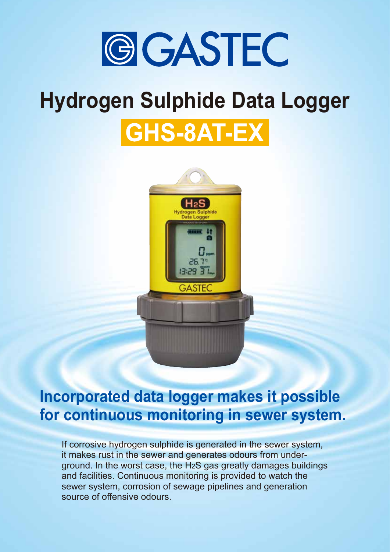

# **Hydrogen Sulphide Data Logger**

# GHS-8AT-EX



### **Incorporated data logger makes it possible for continuous monitoring in sewer system.**

If corrosive hydrogen sulphide is generated in the sewer system, it makes rust in the sewer and generates odours from underground. In the worst case, the H2S gas greatly damages buildings and facilities. Continuous monitoring is provided to watch the sewer system, corrosion of sewage pipelines and generation source of offensive odours.